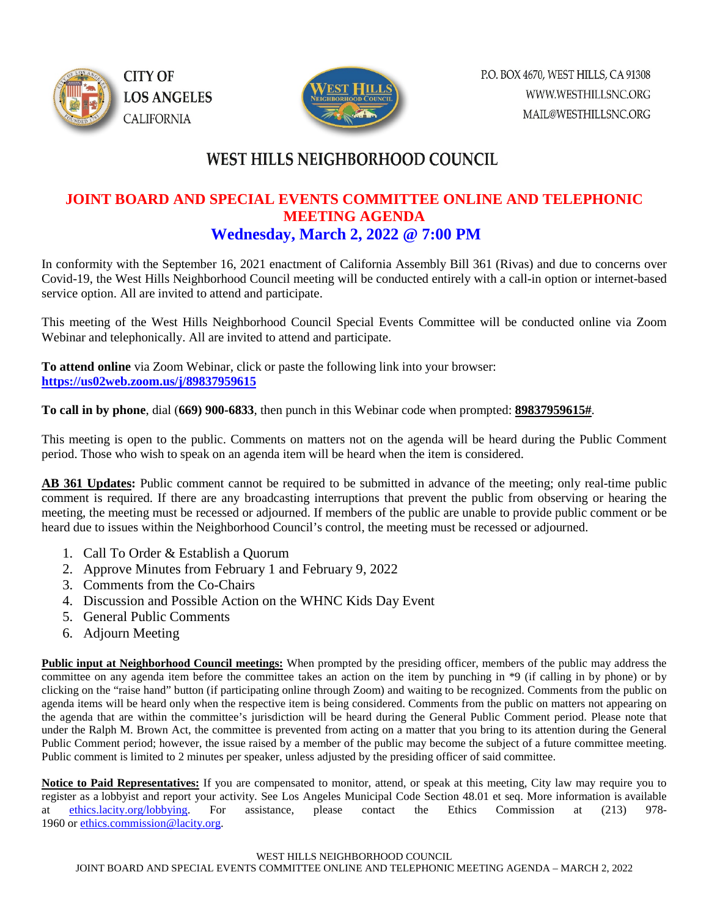



### WEST HILLS NEIGHBORHOOD COUNCIL

#### **JOINT BOARD AND SPECIAL EVENTS COMMITTEE ONLINE AND TELEPHONIC MEETING AGENDA Wednesday, March 2, 2022 @ 7:00 PM**

In conformity with the September 16, 2021 enactment of California Assembly Bill 361 (Rivas) and due to concerns over Covid-19, the West Hills Neighborhood Council meeting will be conducted entirely with a call-in option or internet-based service option. All are invited to attend and participate.

This meeting of the West Hills Neighborhood Council Special Events Committee will be conducted online via Zoom Webinar and telephonically. All are invited to attend and participate.

**To attend online** via Zoom Webinar, click or paste the following link into your browser: **<https://us02web.zoom.us/j/89837959615>**

**To call in by phone**, dial (**669) 900-6833**, then punch in this Webinar code when prompted: **89837959615#**.

This meeting is open to the public. Comments on matters not on the agenda will be heard during the Public Comment period. Those who wish to speak on an agenda item will be heard when the item is considered.

**AB 361 Updates:** Public comment cannot be required to be submitted in advance of the meeting; only real-time public comment is required. If there are any broadcasting interruptions that prevent the public from observing or hearing the meeting, the meeting must be recessed or adjourned. If members of the public are unable to provide public comment or be heard due to issues within the Neighborhood Council's control, the meeting must be recessed or adjourned.

- 1. Call To Order & Establish a Quorum
- 2. Approve Minutes from February 1 and February 9, 2022
- 3. Comments from the Co-Chairs
- 4. Discussion and Possible Action on the WHNC Kids Day Event
- 5. General Public Comments
- 6. Adjourn Meeting

**Public input at Neighborhood Council meetings:** When prompted by the presiding officer, members of the public may address the committee on any agenda item before the committee takes an action on the item by punching in \*9 (if calling in by phone) or by clicking on the "raise hand" button (if participating online through Zoom) and waiting to be recognized. Comments from the public on agenda items will be heard only when the respective item is being considered. Comments from the public on matters not appearing on the agenda that are within the committee's jurisdiction will be heard during the General Public Comment period. Please note that under the Ralph M. Brown Act, the committee is prevented from acting on a matter that you bring to its attention during the General Public Comment period; however, the issue raised by a member of the public may become the subject of a future committee meeting. Public comment is limited to 2 minutes per speaker, unless adjusted by the presiding officer of said committee.

**Notice to Paid Representatives:** If you are compensated to monitor, attend, or speak at this meeting, City law may require you to register as a lobbyist and report your activity. See Los Angeles Municipal Code Section 48.01 et seq. More information is available at [ethics.lacity.org/lobbying.](http://ethics.lacity.org/lobbying) For assistance, please contact the Ethics Commission at (213) 978- 1960 or [ethics.commission@lacity.org.](javascript:void(0);)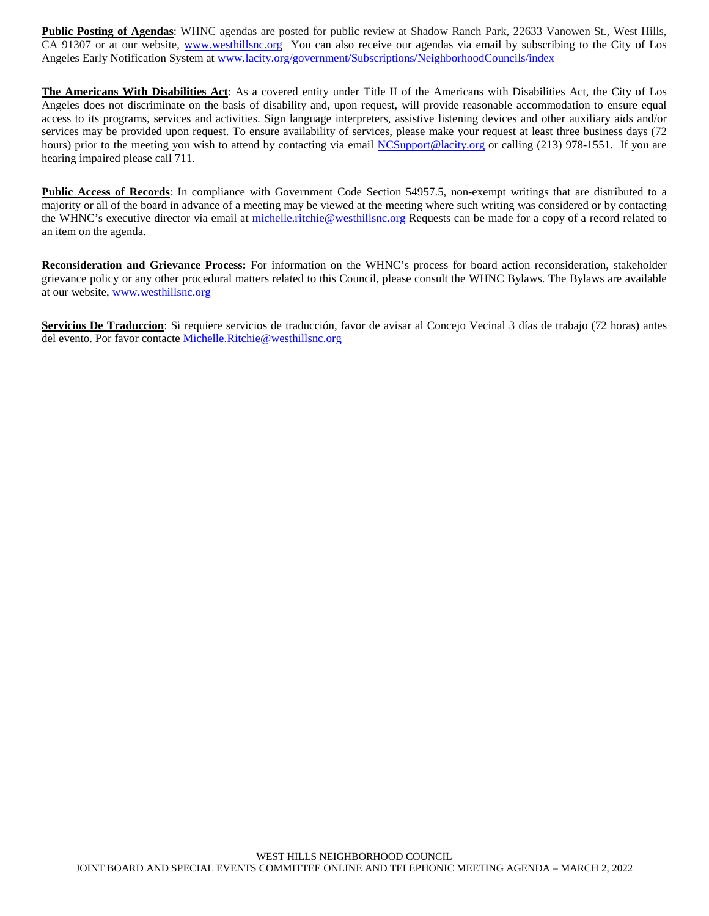**Public Posting of Agendas**: WHNC agendas are posted for public review at Shadow Ranch Park, 22633 Vanowen St., West Hills, CA 91307 or at our website, [www.westhillsnc.org](http://www.westhillsnc.org/) You can also receive our agendas via email by subscribing to the City of Los Angeles Early Notification System at [www.lacity.org/government/Subscriptions/NeighborhoodCouncils/index](http://www.lacity.org/government/Subscriptions/NeighborhoodCouncils/index)

**The Americans With Disabilities Act**: As a covered entity under Title II of the Americans with Disabilities Act, the City of Los Angeles does not discriminate on the basis of disability and, upon request, will provide reasonable accommodation to ensure equal access to its programs, services and activities. Sign language interpreters, assistive listening devices and other auxiliary aids and/or services may be provided upon request. To ensure availability of services, please make your request at least three business days (72 hours) prior to the meeting you wish to attend by contacting via email [NCSupport@lacity.org](mailto:NCSupport@lacity.org) or calling (213) 978-1551. If you are hearing impaired please call 711.

**Public Access of Records**: In compliance with Government Code Section 54957.5, non-exempt writings that are distributed to a majority or all of the board in advance of a meeting may be viewed at the meeting where such writing was considered or by contacting the WHNC's executive director via email at [michelle.ritchie@westhillsnc.org](mailto:michelle.ritchie@westhillsnc.org) Requests can be made for a copy of a record related to an item on the agenda.

**Reconsideration and Grievance Process:** For information on the WHNC's process for board action reconsideration, stakeholder grievance policy or any other procedural matters related to this Council, please consult the WHNC Bylaws. The Bylaws are available at our website, [www.westhillsnc.org](http://www.westhillsnc.org/)

**Servicios De Traduccion**: Si requiere servicios de traducción, favor de avisar al Concejo Vecinal 3 días de trabajo (72 horas) antes del evento. Por favor contacte [Michelle.Ritchie@westhillsnc.org](mailto:Michelle.Ritchie@westhillsnc.org)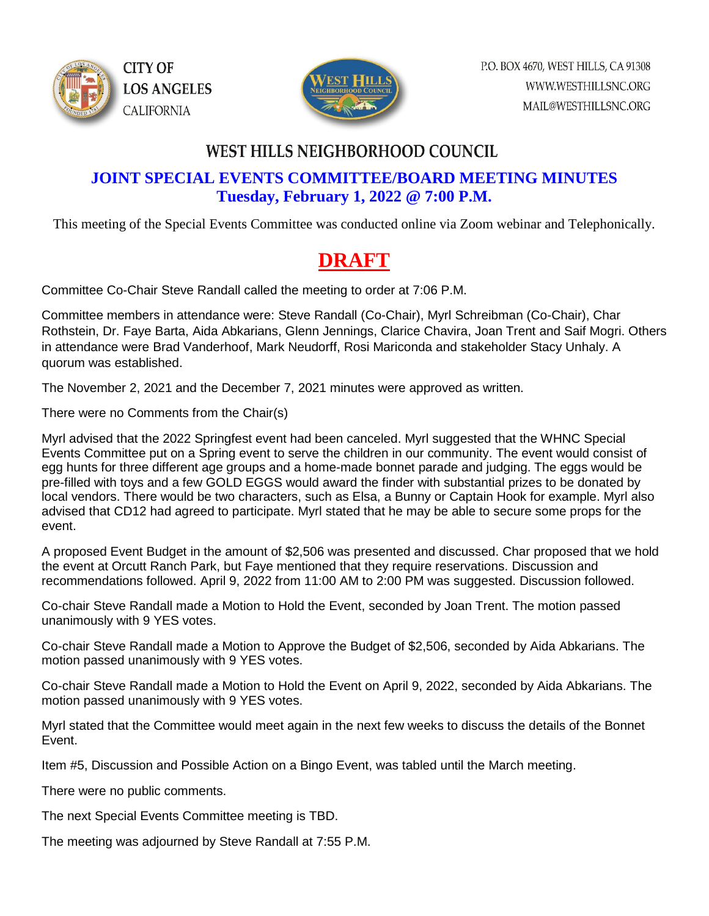



### **WEST HILLS NEIGHBORHOOD COUNCIL**

### **JOINT SPECIAL EVENTS COMMITTEE/BOARD MEETING MINUTES Tuesday, February 1, 2022 @ 7:00 P.M.**

This meeting of the Special Events Committee was conducted online via Zoom webinar and Telephonically.

# **DRAFT**

Committee Co-Chair Steve Randall called the meeting to order at 7:06 P.M.

Committee members in attendance were: Steve Randall (Co-Chair), Myrl Schreibman (Co-Chair), Char Rothstein, Dr. Faye Barta, Aida Abkarians, Glenn Jennings, Clarice Chavira, Joan Trent and Saif Mogri. Others in attendance were Brad Vanderhoof, Mark Neudorff, Rosi Mariconda and stakeholder Stacy Unhaly. A quorum was established.

The November 2, 2021 and the December 7, 2021 minutes were approved as written.

There were no Comments from the Chair(s)

Myrl advised that the 2022 Springfest event had been canceled. Myrl suggested that the WHNC Special Events Committee put on a Spring event to serve the children in our community. The event would consist of egg hunts for three different age groups and a home-made bonnet parade and judging. The eggs would be pre-filled with toys and a few GOLD EGGS would award the finder with substantial prizes to be donated by local vendors. There would be two characters, such as Elsa, a Bunny or Captain Hook for example. Myrl also advised that CD12 had agreed to participate. Myrl stated that he may be able to secure some props for the event.

A proposed Event Budget in the amount of \$2,506 was presented and discussed. Char proposed that we hold the event at Orcutt Ranch Park, but Faye mentioned that they require reservations. Discussion and recommendations followed. April 9, 2022 from 11:00 AM to 2:00 PM was suggested. Discussion followed.

Co-chair Steve Randall made a Motion to Hold the Event, seconded by Joan Trent. The motion passed unanimously with 9 YES votes.

Co-chair Steve Randall made a Motion to Approve the Budget of \$2,506, seconded by Aida Abkarians. The motion passed unanimously with 9 YES votes.

Co-chair Steve Randall made a Motion to Hold the Event on April 9, 2022, seconded by Aida Abkarians. The motion passed unanimously with 9 YES votes.

Myrl stated that the Committee would meet again in the next few weeks to discuss the details of the Bonnet Event.

Item #5, Discussion and Possible Action on a Bingo Event, was tabled until the March meeting.

There were no public comments.

The next Special Events Committee meeting is TBD.

The meeting was adjourned by Steve Randall at 7:55 P.M.